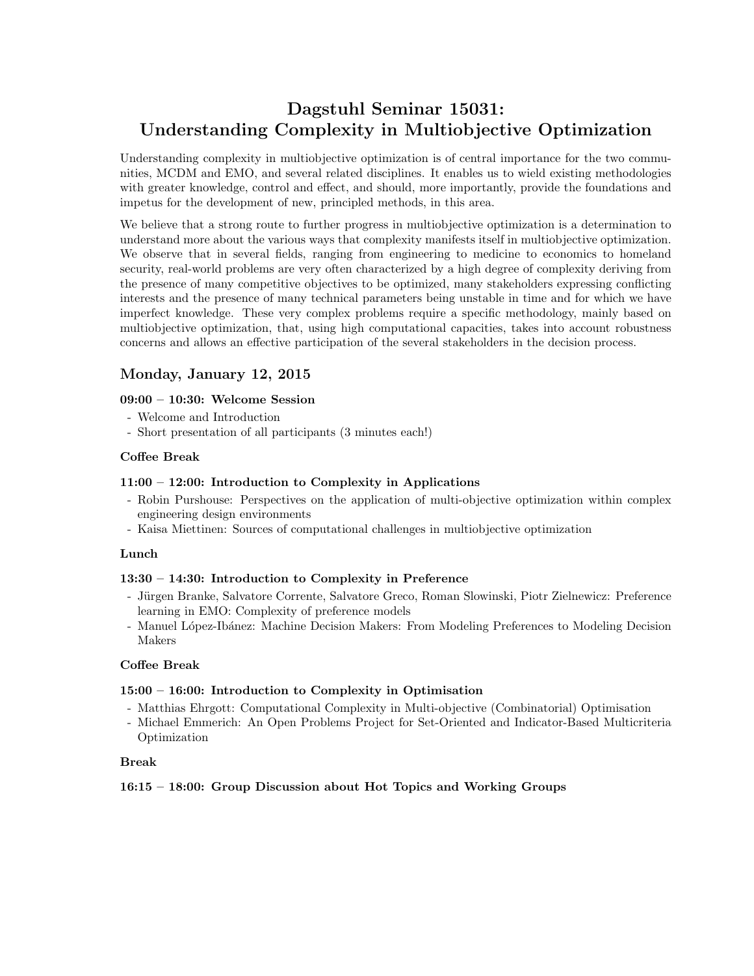# Dagstuhl Seminar 15031: Understanding Complexity in Multiobjective Optimization

Understanding complexity in multiobjective optimization is of central importance for the two communities, MCDM and EMO, and several related disciplines. It enables us to wield existing methodologies with greater knowledge, control and effect, and should, more importantly, provide the foundations and impetus for the development of new, principled methods, in this area.

We believe that a strong route to further progress in multiobjective optimization is a determination to understand more about the various ways that complexity manifests itself in multiobjective optimization. We observe that in several fields, ranging from engineering to medicine to economics to homeland security, real-world problems are very often characterized by a high degree of complexity deriving from the presence of many competitive objectives to be optimized, many stakeholders expressing conflicting interests and the presence of many technical parameters being unstable in time and for which we have imperfect knowledge. These very complex problems require a specific methodology, mainly based on multiobjective optimization, that, using high computational capacities, takes into account robustness concerns and allows an effective participation of the several stakeholders in the decision process.

## Monday, January 12, 2015

## 09:00 – 10:30: Welcome Session

- Welcome and Introduction
- Short presentation of all participants (3 minutes each!)

## Coffee Break

#### 11:00 – 12:00: Introduction to Complexity in Applications

- Robin Purshouse: Perspectives on the application of multi-objective optimization within complex engineering design environments
- Kaisa Miettinen: Sources of computational challenges in multiobjective optimization

#### Lunch

#### 13:30 – 14:30: Introduction to Complexity in Preference

- Jürgen Branke, Salvatore Corrente, Salvatore Greco, Roman Slowinski, Piotr Zielnewicz: Preference learning in EMO: Complexity of preference models
- Manuel López-Ibánez: Machine Decision Makers: From Modeling Preferences to Modeling Decision Makers

## Coffee Break

#### 15:00 – 16:00: Introduction to Complexity in Optimisation

- Matthias Ehrgott: Computational Complexity in Multi-objective (Combinatorial) Optimisation
- Michael Emmerich: An Open Problems Project for Set-Oriented and Indicator-Based Multicriteria Optimization

### Break

## 16:15 – 18:00: Group Discussion about Hot Topics and Working Groups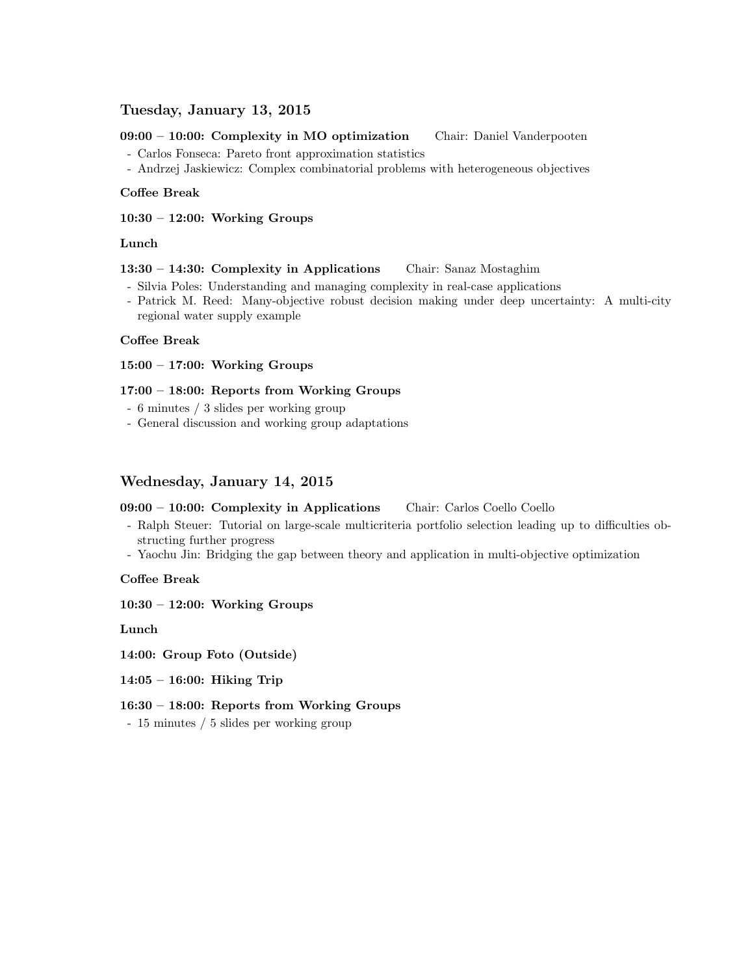## Tuesday, January 13, 2015

#### 09:00 – 10:00: Complexity in MO optimization Chair: Daniel Vanderpooten

- Carlos Fonseca: Pareto front approximation statistics

- Andrzej Jaskiewicz: Complex combinatorial problems with heterogeneous objectives

#### Coffee Break

10:30 – 12:00: Working Groups

#### Lunch

#### 13:30 – 14:30: Complexity in Applications Chair: Sanaz Mostaghim

- Silvia Poles: Understanding and managing complexity in real-case applications
- Patrick M. Reed: Many-objective robust decision making under deep uncertainty: A multi-city regional water supply example

#### Coffee Break

15:00 – 17:00: Working Groups

#### 17:00 – 18:00: Reports from Working Groups

- 6 minutes / 3 slides per working group
- General discussion and working group adaptations

## Wednesday, January 14, 2015

## 09:00 - 10:00: Complexity in Applications Chair: Carlos Coello Coello

- Ralph Steuer: Tutorial on large-scale multicriteria portfolio selection leading up to difficulties obstructing further progress
- Yaochu Jin: Bridging the gap between theory and application in multi-objective optimization

#### Coffee Break

10:30 – 12:00: Working Groups

Lunch

14:00: Group Foto (Outside)

14:05 – 16:00: Hiking Trip

#### 16:30 – 18:00: Reports from Working Groups

- 15 minutes / 5 slides per working group